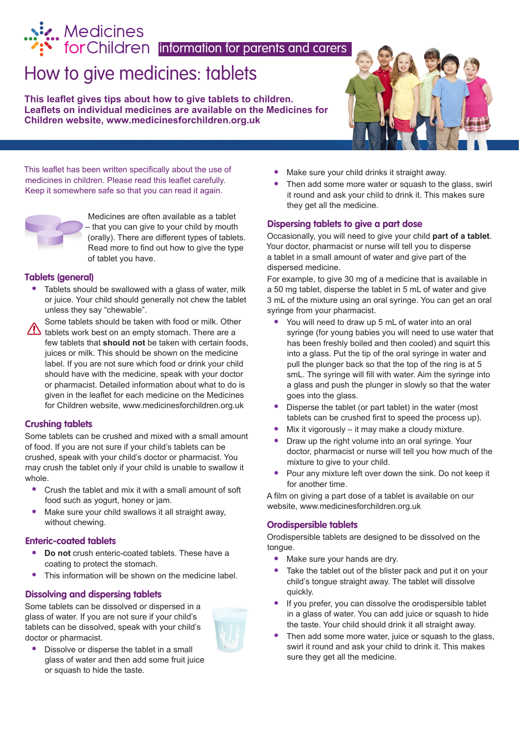# Medicines<br>
for Children information for parents and carers

## How to give medicines: tablets

**This leaflet gives tips about how to give tablets to children. Leaflets on individual medicines are available on the Medicines for Children website, <www.medicinesforchildren.org.uk>**



This leaflet has been written specifically about the use of medicines in children. Please read this leaflet carefully. Keep it somewhere safe so that you can read it again.



Medicines are often available as a tablet – that you can give to your child by mouth (orally). There are different types of tablets. Read more to find out how to give the type of tablet you have.

#### **Tablets (general)**

- **•**  Tablets should be swallowed with a glass of water, milk or juice. Your child should generally not chew the tablet unless they say "chewable".
- Some tablets should be taken with food or milk. Other tablets work best on an empty stomach. There are a few tablets that **should not** be taken with certain foods, juices or milk. This should be shown on the medicine label. If you are not sure which food or drink your child should have with the medicine, speak with your doctor or pharmacist. Detailed information about what to do is given in the leaflet for each medicine on the Medicines for Children website, www.medicinesforchildren.org.uk

#### **Crushing tablets**

Some tablets can be crushed and mixed with a small amount of food. If you are not sure if your child's tablets can be crushed, speak with your child's doctor or pharmacist. You may crush the tablet only if your child is unable to swallow it whole.

- Crush the tablet and mix it with a small amount of soft food such as yogurt, honey or jam.
- Make sure your child swallows it all straight away, without chewing.

#### **Enteric-coated tablets**

- **Do** not crush enteric-coated tablets. These have a coating to protect the stomach.
- This information will be shown on the medicine label.

#### **Dissolving and dispersing tablets**

Some tablets can be dissolved or dispersed in a glass of water. If you are not sure if your child's tablets can be dissolved, speak with your child's doctor or pharmacist.



**•**  Dissolve or disperse the tablet in a small glass of water and then add some fruit juice or squash to hide the taste.

- Make sure your child drinks it straight away.
- Then add some more water or squash to the glass, swirl it round and ask your child to drink it. This makes sure they get all the medicine.

#### **Dispersing tablets to give a part dose**

Occasionally, you will need to give your child **part of a tablet**. Your doctor, pharmacist or nurse will tell you to disperse a tablet in a small amount of water and give part of the dispersed medicine.

For example, to give 30 mg of a medicine that is available in a 50 mg tablet, disperse the tablet in 5 mL of water and give 3 mL of the mixture using an oral syringe. You can get an oral syringe from your pharmacist.

- You will need to draw up 5 mL of water into an oral syringe (for young babies you will need to use water that has been freshly boiled and then cooled) and squirt this into a glass. Put the tip of the oral syringe in water and pull the plunger back so that the top of the ring is at 5 smL. The syringe will fill with water. Aim the syringe into a glass and push the plunger in slowly so that the water goes into the glass.
- **•**  Disperse the tablet (or part tablet) in the water (most tablets can be crushed first to speed the process up).
- Mix it vigorously it may make a cloudy mixture.
- Draw up the right volume into an oral syringe. Your doctor, pharmacist or nurse will tell you how much of the mixture to give to your child.
- Pour any mixture left over down the sink. Do not keep it for another time.

A film on giving a part dose of a tablet is available on our website, www.medicinesforchildren.org.uk

#### **Orodispersible tablets**

Orodispersible tablets are designed to be dissolved on the tongue.

- Make sure your hands are dry.
- Take the tablet out of the blister pack and put it on your child's tongue straight away. The tablet will dissolve quickly.
- If you prefer, you can dissolve the orodispersible tablet in a glass of water. You can add juice or squash to hide the taste. Your child should drink it all straight away.
- Then add some more water, juice or squash to the glass, swirl it round and ask your child to drink it. This makes sure they get all the medicine.